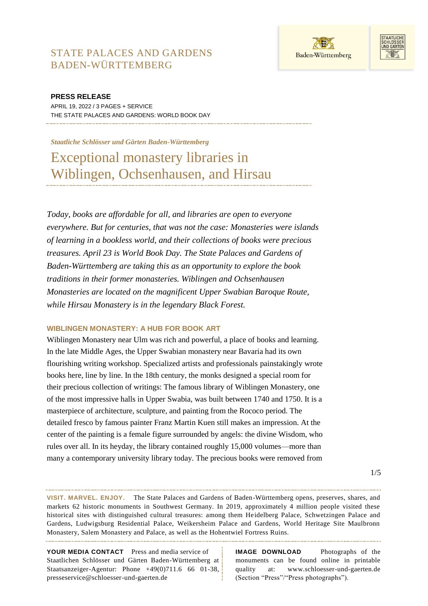



**PRESS RELEASE** APRIL 19, 2022 / 3 PAGES + SERVICE THE STATE PALACES AND GARDENS: WORLD BOOK DAY

#### *Staatliche Schlösser und Gärten Baden-Württemberg*

Exceptional monastery libraries in Wiblingen, Ochsenhausen, and Hirsau

*Today, books are affordable for all, and libraries are open to everyone everywhere. But for centuries, that was not the case: Monasteries were islands of learning in a bookless world, and their collections of books were precious treasures. April 23 is World Book Day. The State Palaces and Gardens of Baden-Württemberg are taking this as an opportunity to explore the book traditions in their former monasteries. Wiblingen and Ochsenhausen Monasteries are located on the magnificent Upper Swabian Baroque Route, while Hirsau Monastery is in the legendary Black Forest.*

## **WIBLINGEN MONASTERY: A HUB FOR BOOK ART**

Wiblingen Monastery near Ulm was rich and powerful, a place of books and learning. In the late Middle Ages, the Upper Swabian monastery near Bavaria had its own flourishing writing workshop. Specialized artists and professionals painstakingly wrote books here, line by line. In the 18th century, the monks designed a special room for their precious collection of writings: The famous library of Wiblingen Monastery, one of the most impressive halls in Upper Swabia, was built between 1740 and 1750. It is a masterpiece of architecture, sculpture, and painting from the Rococo period. The detailed fresco by famous painter Franz Martin Kuen still makes an impression. At the center of the painting is a female figure surrounded by angels: the divine Wisdom, who rules over all. In its heyday, the library contained roughly 15,000 volumes—more than many a contemporary university library today. The precious books were removed from

**VISIT. MARVEL. ENJOY.** The State Palaces and Gardens of Baden-Württemberg opens, preserves, shares, and markets 62 historic monuments in Southwest Germany. In 2019, approximately 4 million people visited these historical sites with distinguished cultural treasures: among them Heidelberg Palace, Schwetzingen Palace and Gardens, Ludwigsburg Residential Palace, Weikersheim Palace and Gardens, World Heritage Site Maulbronn Monastery, Salem Monastery and Palace, as well as the Hohentwiel Fortress Ruins.

**YOUR MEDIA CONTACT** Press and media service of Staatlichen Schlösser und Gärten Baden-Württemberg at Staatsanzeiger-Agentur: Phone +49(0)711.6 66 01-38, presseservice@schloesser-und-gaerten.de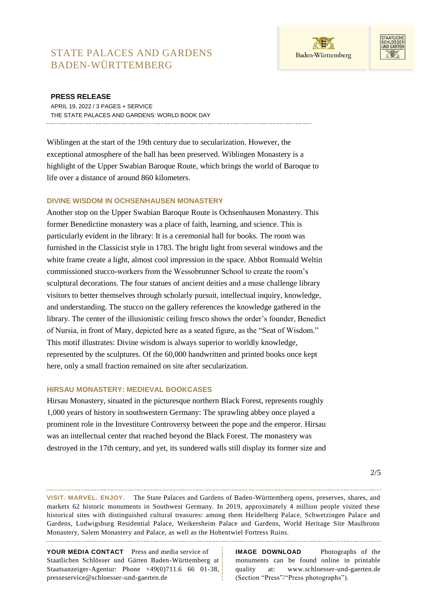



### **PRESS RELEASE**

APRIL 19, 2022 / 3 PAGES + SERVICE THE STATE PALACES AND GARDENS: WORLD BOOK DAY

Wiblingen at the start of the 19th century due to secularization. However, the exceptional atmosphere of the hall has been preserved. Wiblingen Monastery is a highlight of the Upper Swabian Baroque Route, which brings the world of Baroque to life over a distance of around 860 kilometers.

## **DIVINE WISDOM IN OCHSENHAUSEN MONASTERY**

Another stop on the Upper Swabian Baroque Route is Ochsenhausen Monastery. This former Benedictine monastery was a place of faith, learning, and science. This is particularly evident in the library: It is a ceremonial hall for books. The room was furnished in the Classicist style in 1783. The bright light from several windows and the white frame create a light, almost cool impression in the space. Abbot Romuald Weltin commissioned stucco-workers from the Wessobrunner School to create the room's sculptural decorations. The four statues of ancient deities and a muse challenge library visitors to better themselves through scholarly pursuit, intellectual inquiry, knowledge, and understanding. The stucco on the gallery references the knowledge gathered in the library. The center of the illusionistic ceiling fresco shows the order's founder, Benedict of Nursia, in front of Mary, depicted here as a seated figure, as the "Seat of Wisdom." This motif illustrates: Divine wisdom is always superior to worldly knowledge, represented by the sculptures. Of the 60,000 handwritten and printed books once kept here, only a small fraction remained on site after secularization.

## **HIRSAU MONASTERY: MEDIEVAL BOOKCASES**

Hirsau Monastery, situated in the picturesque northern Black Forest, represents roughly 1,000 years of history in southwestern Germany: The sprawling abbey once played a prominent role in the Investiture Controversy between the pope and the emperor. Hirsau was an intellectual center that reached beyond the Black Forest. The monastery was destroyed in the 17th century, and yet, its sundered walls still display its former size and

**VISIT. MARVEL. ENJOY.** The State Palaces and Gardens of Baden-Württemberg opens, preserves, shares, and markets 62 historic monuments in Southwest Germany. In 2019, approximately 4 million people visited these historical sites with distinguished cultural treasures: among them Heidelberg Palace, Schwetzingen Palace and Gardens, Ludwigsburg Residential Palace, Weikersheim Palace and Gardens, World Heritage Site Maulbronn Monastery, Salem Monastery and Palace, as well as the Hohentwiel Fortress Ruins.

**YOUR MEDIA CONTACT** Press and media service of Staatlichen Schlösser und Gärten Baden-Württemberg at Staatsanzeiger-Agentur: Phone +49(0)711.6 66 01-38, presseservice@schloesser-und-gaerten.de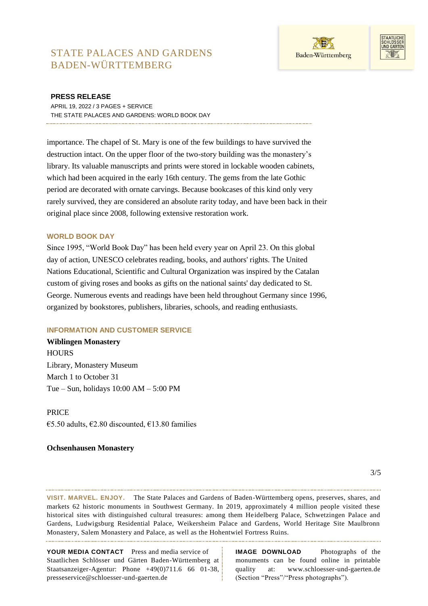



### **PRESS RELEASE**

APRIL 19, 2022 / 3 PAGES + SERVICE THE STATE PALACES AND GARDENS: WORLD BOOK DAY

importance. The chapel of St. Mary is one of the few buildings to have survived the destruction intact. On the upper floor of the two-story building was the monastery's library. Its valuable manuscripts and prints were stored in lockable wooden cabinets, which had been acquired in the early 16th century. The gems from the late Gothic period are decorated with ornate carvings. Because bookcases of this kind only very rarely survived, they are considered an absolute rarity today, and have been back in their original place since 2008, following extensive restoration work.

### **WORLD BOOK DAY**

Since 1995, "World Book Day" has been held every year on April 23. On this global day of action, UNESCO celebrates reading, books, and authors' rights. The United Nations Educational, Scientific and Cultural Organization was inspired by the Catalan custom of giving roses and books as gifts on the national saints' day dedicated to St. George. Numerous events and readings have been held throughout Germany since 1996, organized by bookstores, publishers, libraries, schools, and reading enthusiasts.

## **INFORMATION AND CUSTOMER SERVICE**

**Wiblingen Monastery HOURS** Library, Monastery Museum March 1 to October 31 Tue – Sun, holidays 10:00 AM – 5:00 PM

PRICE

€5.50 adults, €2.80 discounted, €13.80 families

## **Ochsenhausen Monastery**

**VISIT. MARVEL. ENJOY.** The State Palaces and Gardens of Baden-Württemberg opens, preserves, shares, and markets 62 historic monuments in Southwest Germany. In 2019, approximately 4 million people visited these historical sites with distinguished cultural treasures: among them Heidelberg Palace, Schwetzingen Palace and Gardens, Ludwigsburg Residential Palace, Weikersheim Palace and Gardens, World Heritage Site Maulbronn Monastery, Salem Monastery and Palace, as well as the Hohentwiel Fortress Ruins.

**YOUR MEDIA CONTACT** Press and media service of Staatlichen Schlösser und Gärten Baden-Württemberg at Staatsanzeiger-Agentur: Phone +49(0)711.6 66 01-38, presseservice@schloesser-und-gaerten.de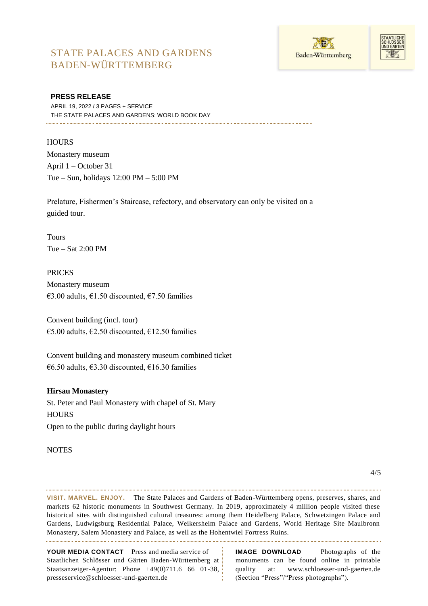



### **PRESS RELEASE**

APRIL 19, 2022 / 3 PAGES + SERVICE THE STATE PALACES AND GARDENS: WORLD BOOK DAY

## **HOURS**

Monastery museum April 1 – October 31 Tue – Sun, holidays 12:00 PM – 5:00 PM

Prelature, Fishermen's Staircase, refectory, and observatory can only be visited on a guided tour.

Tours Tue – Sat 2:00 PM

PRICES Monastery museum €3.00 adults, €1.50 discounted, €7.50 families

Convent building (incl. tour) €5.00 adults, €2.50 discounted, €12.50 families

Convent building and monastery museum combined ticket  $€6.50$  adults, €3.30 discounted, €16.30 families

#### **Hirsau Monastery**

St. Peter and Paul Monastery with chapel of St. Mary **HOURS** Open to the public during daylight hours

#### **NOTES**

**VISIT. MARVEL. ENJOY.** The State Palaces and Gardens of Baden-Württemberg opens, preserves, shares, and markets 62 historic monuments in Southwest Germany. In 2019, approximately 4 million people visited these historical sites with distinguished cultural treasures: among them Heidelberg Palace, Schwetzingen Palace and Gardens, Ludwigsburg Residential Palace, Weikersheim Palace and Gardens, World Heritage Site Maulbronn Monastery, Salem Monastery and Palace, as well as the Hohentwiel Fortress Ruins.

**YOUR MEDIA CONTACT** Press and media service of Staatlichen Schlösser und Gärten Baden-Württemberg at Staatsanzeiger-Agentur: Phone +49(0)711.6 66 01-38, presseservice@schloesser-und-gaerten.de